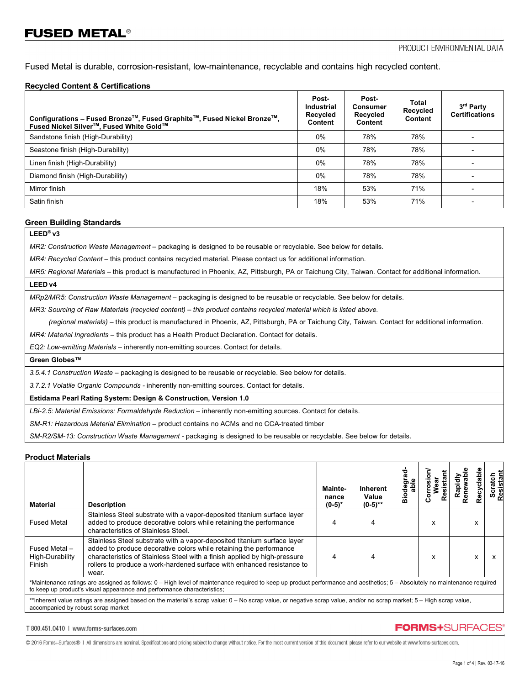# **FUSED METAL<sup>®</sup>**

Fused Metal is durable, corrosion-resistant, low-maintenance, recyclable and contains high recycled content.

### **Recycled Content & Certifications**

| Configurations - Fused Bronze™, Fused Graphite™, Fused Nickel Bronze™,<br>Fused Nickel Silver™, Fused White Gold™ | Post-<br><b>Industrial</b><br>Recycled<br>Content | Post-<br>Consumer<br>Recycled<br>Content | Total<br>Recycled<br>Content | 3 <sup>rd</sup> Party<br><b>Certifications</b> |
|-------------------------------------------------------------------------------------------------------------------|---------------------------------------------------|------------------------------------------|------------------------------|------------------------------------------------|
| Sandstone finish (High-Durability)                                                                                | $0\%$                                             | 78%                                      | 78%                          |                                                |
| Seastone finish (High-Durability)                                                                                 | $0\%$                                             | 78%                                      | 78%                          |                                                |
| Linen finish (High-Durability)                                                                                    | $0\%$                                             | 78%                                      | 78%                          |                                                |
| Diamond finish (High-Durability)                                                                                  | $0\%$                                             | 78%                                      | 78%                          |                                                |
| Mirror finish                                                                                                     | 18%                                               | 53%                                      | 71%                          |                                                |
| Satin finish                                                                                                      | 18%                                               | 53%                                      | 71%                          |                                                |

#### **Green Building Standards**

## **LEED® v3**

*MR2: Construction Waste Management –* packaging is designed to be reusable or recyclable. See below for details.

*MR4: Recycled Content* – this product contains recycled material. Please contact us for additional information.

*MR5: Regional Materials* – this product is manufactured in Phoenix, AZ, Pittsburgh, PA or Taichung City, Taiwan. Contact for additional information. **LEED v4**

*MRp2/MR5: Construction Waste Management –* packaging is designed to be reusable or recyclable. See below for details.

*MR3: Sourcing of Raw Materials (recycled content) – this product contains recycled material which is listed above.*

 *(regional materials)* – this product is manufactured in Phoenix, AZ, Pittsburgh, PA or Taichung City, Taiwan. Contact for additional information.

*MR4: Material Ingredients –* this product has a Health Product Declaration. Contact for details.

*EQ2: Low-emitting Materials –* inherently non-emitting sources. Contact for details.

**Green Globes™**

*3.5.4.1 Construction Waste* – packaging is designed to be reusable or recyclable. See below for details.

*3.7.2.1 Volatile Organic Compounds -* inherently non-emitting sources. Contact for details.

**Estidama Pearl Rating System: Design & Construction, Version 1.0**

*LBi-2.5: Material Emissions: Formaldehyde Reduction –* inherently non-emitting sources. Contact for details.

*SM-R1: Hazardous Material Elimination –* product contains no ACMs and no CCA-treated timber

*SM-R2/SM-13: Construction Waste Management -* packaging is designed to be reusable or recyclable. See below for details.

#### **Product Materials**

| <b>Material</b>                                                                                                                                                                                                                                       | <b>Description</b>                                                                                                                                                                                                                                                                                            | Mainte-<br>nance<br>$(0-5)*$ | <b>Inherent</b><br>Value<br>$(0-5)$ ** | ৯<br>able<br>ъ<br>å | Resista | Rapidly<br>anewabl | cyclabl | Scratch<br>Resistant |
|-------------------------------------------------------------------------------------------------------------------------------------------------------------------------------------------------------------------------------------------------------|---------------------------------------------------------------------------------------------------------------------------------------------------------------------------------------------------------------------------------------------------------------------------------------------------------------|------------------------------|----------------------------------------|---------------------|---------|--------------------|---------|----------------------|
| <b>Fused Metal</b>                                                                                                                                                                                                                                    | Stainless Steel substrate with a vapor-deposited titanium surface layer<br>added to produce decorative colors while retaining the performance<br>characteristics of Stainless Steel.                                                                                                                          | 4                            |                                        |                     | x       |                    | x       |                      |
| Fused Metal -<br>High-Durability<br>Finish                                                                                                                                                                                                            | Stainless Steel substrate with a vapor-deposited titanium surface layer<br>added to produce decorative colors while retaining the performance<br>characteristics of Stainless Steel with a finish applied by high-pressure<br>rollers to produce a work-hardened surface with enhanced resistance to<br>wear. |                              |                                        |                     | x       |                    | X       |                      |
| *Maintenance ratings are assigned as follows: 0 – High level of maintenance required to keep up product performance and aesthetics; 5 – Absolutely no maintenance required<br>to keep up product's visual appearance and performance characteristics; |                                                                                                                                                                                                                                                                                                               |                              |                                        |                     |         |                    |         |                      |
| **Inherent value ratings are assigned based on the material's scrap value: 0 – No scrap value, or negative scrap value, and/or no scrap market; 5 – High scrap value,<br>accompanied by robust scrap market                                           |                                                                                                                                                                                                                                                                                                               |                              |                                        |                     |         |                    |         |                      |

T 800.451.0410 | www.forms-surfaces.com

## **FORMS+SURFACES®**

© 2016 Forms+Surfaces® | All dimensions are nominal. Specifications and pricing subject to change without notice. For the most current version of this document, please refer to our website at www.forms-surfaces.com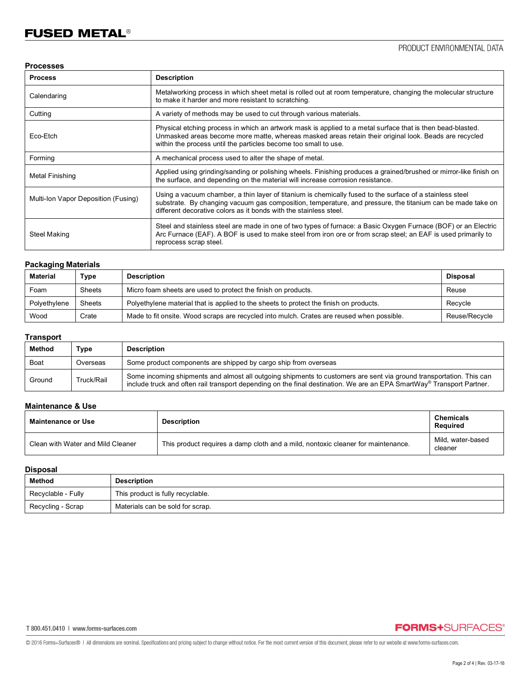### **Processes**

| <b>Process</b>                      | <b>Description</b>                                                                                                                                                                                                                                                                          |
|-------------------------------------|---------------------------------------------------------------------------------------------------------------------------------------------------------------------------------------------------------------------------------------------------------------------------------------------|
| Calendaring                         | Metalworking process in which sheet metal is rolled out at room temperature, changing the molecular structure<br>to make it harder and more resistant to scratching.                                                                                                                        |
| Cutting                             | A variety of methods may be used to cut through various materials.                                                                                                                                                                                                                          |
| Eco-Etch                            | Physical etching process in which an artwork mask is applied to a metal surface that is then bead-blasted.<br>Unmasked areas become more matte, whereas masked areas retain their original look. Beads are recycled<br>within the process until the particles become too small to use.      |
| Forming                             | A mechanical process used to alter the shape of metal.                                                                                                                                                                                                                                      |
| Metal Finishing                     | Applied using grinding/sanding or polishing wheels. Finishing produces a grained/brushed or mirror-like finish on<br>the surface, and depending on the material will increase corrosion resistance.                                                                                         |
| Multi-Ion Vapor Deposition (Fusing) | Using a vacuum chamber, a thin layer of titanium is chemically fused to the surface of a stainless steel<br>substrate. By changing vacuum gas composition, temperature, and pressure, the titanium can be made take on<br>different decorative colors as it bonds with the stainless steel. |
| Steel Making                        | Steel and stainless steel are made in one of two types of furnace: a Basic Oxygen Furnace (BOF) or an Electric<br>Arc Furnace (EAF). A BOF is used to make steel from iron ore or from scrap steel; an EAF is used primarily to<br>reprocess scrap steel.                                   |

## **Packaging Materials**

| <b>Material</b> | Type          | <b>Description</b>                                                                        | Disposal      |
|-----------------|---------------|-------------------------------------------------------------------------------------------|---------------|
| Foam            | <b>Sheets</b> | Micro foam sheets are used to protect the finish on products.                             | Reuse         |
| Polyethylene    | <b>Sheets</b> | Polyethylene material that is applied to the sheets to protect the finish on products.    | Recycle       |
| Wood            | Crate         | Made to fit onsite. Wood scraps are recycled into mulch. Crates are reused when possible. | Reuse/Recycle |

## **Transport**

| Method | туре       | <b>Description</b>                                                                                                                                                                                                                           |
|--------|------------|----------------------------------------------------------------------------------------------------------------------------------------------------------------------------------------------------------------------------------------------|
| Boat   | Overseas   | Some product components are shipped by cargo ship from overseas                                                                                                                                                                              |
| Ground | Truck/Rail | Some incoming shipments and almost all outgoing shipments to customers are sent via ground transportation. This can<br>include truck and often rail transport depending on the final destination. We are an EPA SmartWay® Transport Partner. |

## **Maintenance & Use**

| Maintenance or Use                | <b>Description</b>                                                               | <b>Chemicals</b><br>Reauired |
|-----------------------------------|----------------------------------------------------------------------------------|------------------------------|
| Clean with Water and Mild Cleaner | This product requires a damp cloth and a mild, nontoxic cleaner for maintenance. | Mild. water-based<br>cleaner |

## **Disposal**

| Method             | <b>Description</b>                |
|--------------------|-----------------------------------|
| Recyclable - Fully | This product is fully recyclable. |
| Recycling - Scrap  | Materials can be sold for scrap.  |

## **FORMS+**SURFACES®

@ 2016 Forms+Surfaces® | All dimensions are nominal. Specifications and pricing subject to change without notice. For the most current version of this document, please refer to our website at www.forms-surfaces.com.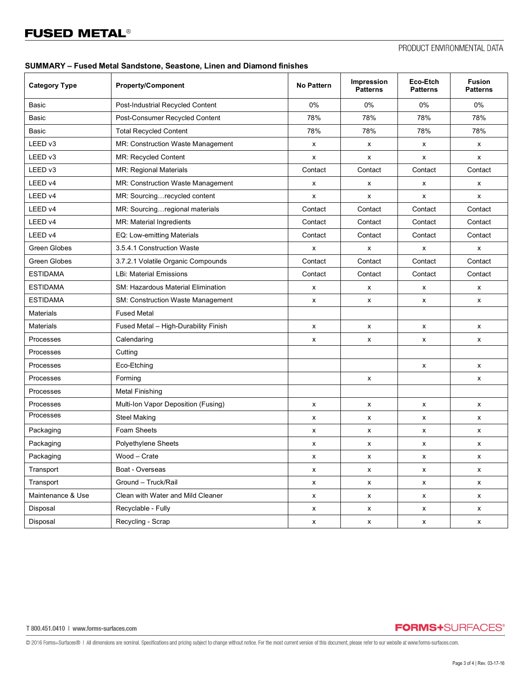### **SUMMARY – Fused Metal Sandstone, Seastone, Linen and Diamond finishes**

| <b>Category Type</b> | <b>Property/Component</b>                | <b>No Pattern</b>  | Impression<br><b>Patterns</b> | Eco-Etch<br><b>Patterns</b> | <b>Fusion</b><br><b>Patterns</b> |
|----------------------|------------------------------------------|--------------------|-------------------------------|-----------------------------|----------------------------------|
| Basic                | Post-Industrial Recycled Content         | 0%                 | 0%                            | 0%                          | 0%                               |
| Basic                | Post-Consumer Recycled Content           | 78%                | 78%                           | 78%                         | 78%                              |
| <b>Basic</b>         | <b>Total Recycled Content</b>            | 78%                | 78%                           | 78%                         | 78%                              |
| LEED v3              | MR: Construction Waste Management        | x                  | X                             | X                           | x                                |
| LEED v3              | MR: Recycled Content                     | X                  | x                             | X                           | X                                |
| LEED v3              | MR: Regional Materials                   | Contact            | Contact                       | Contact                     | Contact                          |
| LEED v4              | MR: Construction Waste Management        | X                  | x                             | X                           | x                                |
| LEED v4              | MR: Sourcingrecycled content             | x                  | x                             | x                           | X                                |
| LEED v4              | MR: Sourcingregional materials           | Contact            | Contact                       | Contact                     | Contact                          |
| LEED v4              | MR: Material Ingredients                 | Contact            | Contact                       | Contact                     | Contact                          |
| LEED v4              | EQ: Low-emitting Materials               | Contact            | Contact                       | Contact                     | Contact                          |
| Green Globes         | 3.5.4.1 Construction Waste               | X                  | x                             | x                           | x                                |
| <b>Green Globes</b>  | 3.7.2.1 Volatile Organic Compounds       | Contact            | Contact                       | Contact                     | Contact                          |
| <b>ESTIDAMA</b>      | <b>LBi: Material Emissions</b>           | Contact            | Contact                       | Contact                     | Contact                          |
| <b>ESTIDAMA</b>      | SM: Hazardous Material Elimination       | X                  | x                             | x                           | x                                |
| <b>ESTIDAMA</b>      | <b>SM: Construction Waste Management</b> | X                  | x                             | x                           | x                                |
| <b>Materials</b>     | <b>Fused Metal</b>                       |                    |                               |                             |                                  |
| <b>Materials</b>     | Fused Metal - High-Durability Finish     | X                  | x                             | x                           | x                                |
| Processes            | Calendaring                              | X                  | X                             | x                           | x                                |
| Processes            | Cutting                                  |                    |                               |                             |                                  |
| Processes            | Eco-Etching                              |                    |                               | X                           | x                                |
| Processes            | Forming                                  |                    | X                             |                             | x                                |
| Processes            | <b>Metal Finishing</b>                   |                    |                               |                             |                                  |
| Processes            | Multi-Ion Vapor Deposition (Fusing)      | X                  | X                             | X                           | X                                |
| Processes            | <b>Steel Making</b>                      | x                  | x                             | x                           | x                                |
| Packaging            | Foam Sheets                              | X                  | X                             | X                           | x                                |
| Packaging            | Polyethylene Sheets                      | X                  | x                             | X                           | x                                |
| Packaging            | Wood - Crate                             | х                  | x                             | x                           | x                                |
| Transport            | Boat - Overseas                          | x                  | X                             | X                           | X                                |
| Transport            | Ground - Truck/Rail                      | $\pmb{\mathsf{X}}$ | $\pmb{\mathsf{X}}$            | X                           | X                                |
| Maintenance & Use    | Clean with Water and Mild Cleaner        | X                  | $\pmb{\mathsf{X}}$            | X                           | X                                |
| Disposal             | Recyclable - Fully                       | X                  | $\pmb{\mathsf{X}}$            | X                           | X                                |
| Disposal             | Recycling - Scrap                        | $\mathsf X$        | $\mathsf x$                   | X                           | X                                |

T 800.451.0410 | www.forms-surfaces.com

**FORMS+**SURFACES®

@ 2016 Forms+Surfaces® | All dimensions are nominal. Specifications and pricing subject to change without notice. For the most current version of this document, please refer to our website at www.forms-surfaces.com.